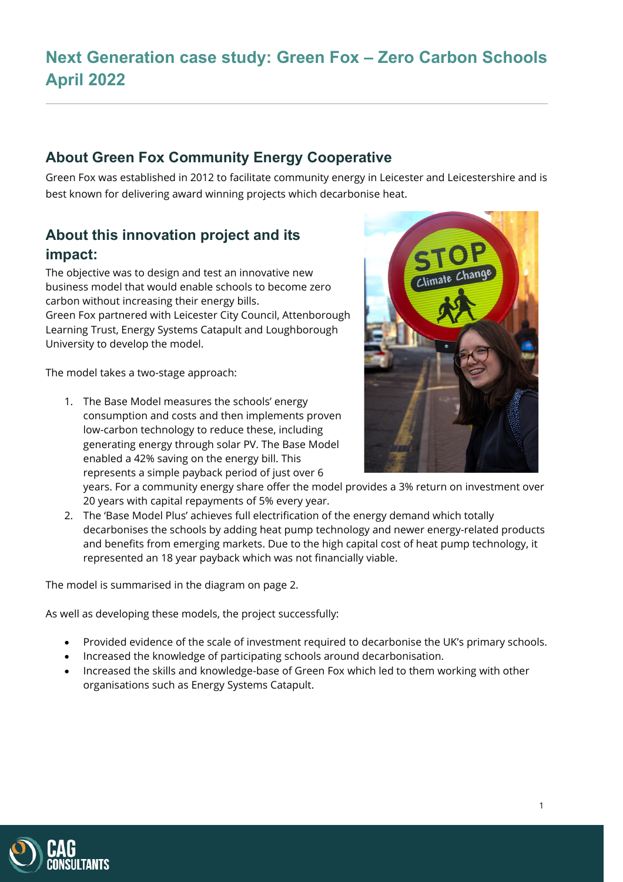# **Next Generation case study: Green Fox – Zero Carbon Schools April 2022**

### **About Green Fox Community Energy Cooperative**

Green Fox was established in 2012 to facilitate community energy in Leicester and Leicestershire and is best known for delivering award winning projects which decarbonise heat.

## **About this innovation project and its impact:**

The objective was to design and test an innovative new business model that would enable schools to become zero carbon without increasing their energy bills. Green Fox partnered with Leicester City Council, Attenborough Learning Trust, Energy Systems Catapult and Loughborough University to develop the model.

The model takes a two-stage approach:

1. The Base Model measures the schools' energy consumption and costs and then implements proven low-carbon technology to reduce these, including generating energy through solar PV. The Base Model enabled a 42% saving on the energy bill. This represents a simple payback period of just over 6



years. For a community energy share offer the model provides a 3% return on investment over 20 years with capital repayments of 5% every year.

2. The 'Base Model Plus' achieves full electrification of the energy demand which totally decarbonises the schools by adding heat pump technology and newer energy-related products and benefits from emerging markets. Due to the high capital cost of heat pump technology, it represented an 18 year payback which was not financially viable.

The model is summarised in the diagram on page 2.

As well as developing these models, the project successfully:

- Provided evidence of the scale of investment required to decarbonise the UK's primary schools.
- Increased the knowledge of participating schools around decarbonisation.
- Increased the skills and knowledge-base of Green Fox which led to them working with other organisations such as Energy Systems Catapult.

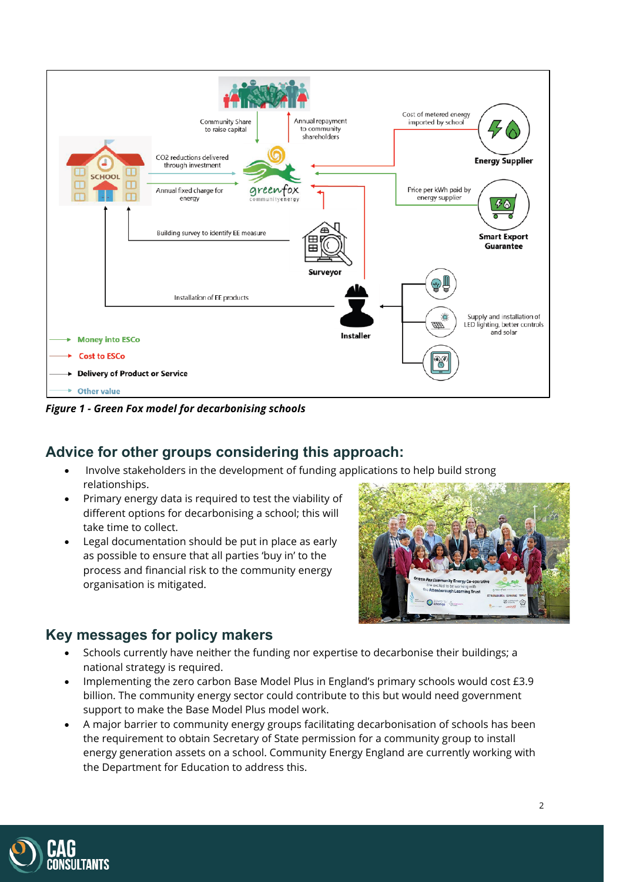

*Figure 1 - Green Fox model for decarbonising schools*

#### **Advice for other groups considering this approach:**

- Involve stakeholders in the development of funding applications to help build strong relationships.
- Primary energy data is required to test the viability of different options for decarbonising a school; this will take time to collect.
- Legal documentation should be put in place as early as possible to ensure that all parties 'buy in' to the process and financial risk to the community energy organisation is mitigated.



#### **Key messages for policy makers**

- Schools currently have neither the funding nor expertise to decarbonise their buildings; a national strategy is required.
- Implementing the zero carbon Base Model Plus in England's primary schools would cost £3.9 billion. The community energy sector could contribute to this but would need government support to make the Base Model Plus model work.
- A major barrier to community energy groups facilitating decarbonisation of schools has been the requirement to obtain Secretary of State permission for a community group to install energy generation assets on a school. Community Energy England are currently working with the Department for Education to address this.